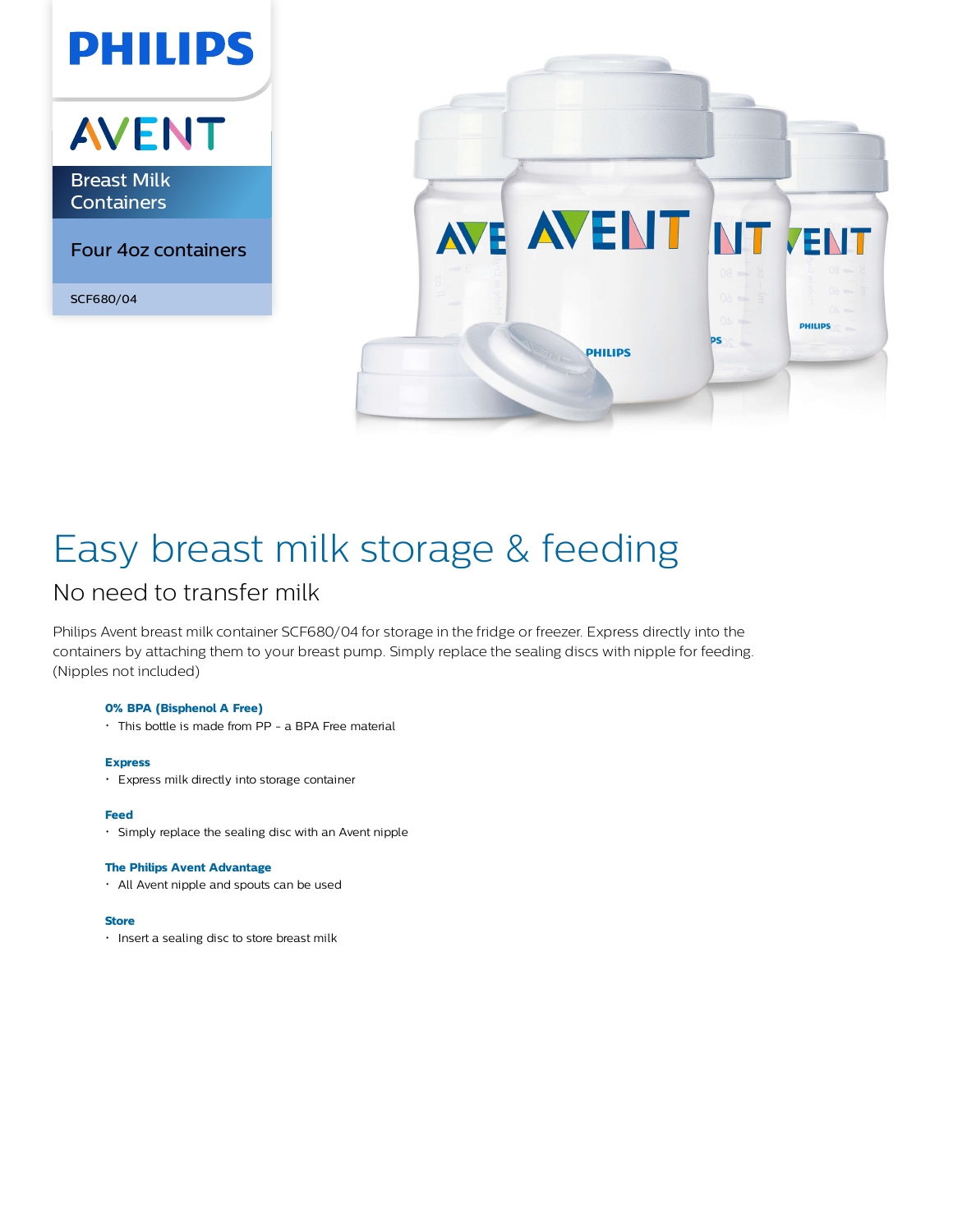# **AVENT**

**PHILIPS** 

Breast Milk **Containers** 

Four 4oz containers

SCF680/04



# Easy breast milk storage & feeding

### No need to transfer milk

Philips Avent breast milk container SCF680/04 for storage in the fridge or freezer. Express directly into the containers by attaching them to your breast pump. Simply replace the sealing discs with nipple for feeding. (Nipples not included)

#### **0% BPA (Bisphenol A Free)**

This bottle is made from PP - a BPA Free material

#### **Express**

Express milk directly into storage container

#### **Feed**

Simply replace the sealing disc with an Avent nipple

#### **The Philips Avent Advantage**

All Avent nipple and spouts can be used

#### **Store**

**·** Insert a sealing disc to store breast milk